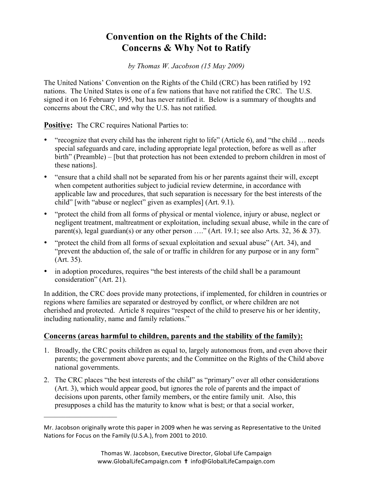## **Convention on the Rights of the Child: Concerns & Why Not to Ratify**

*by Thomas W. Jacobson (15 May 2009)* 

The United Nations' Convention on the Rights of the Child (CRC) has been ratified by 192 nations. The United States is one of a few nations that have not ratified the CRC. The U.S. signed it on 16 February 1995, but has never ratified it. Below is a summary of thoughts and concerns about the CRC, and why the U.S. has not ratified.

**Positive:** The CRC requires National Parties to:

 $\mathcal{L}_\text{max}$  , where  $\mathcal{L}_\text{max}$  , we have the set of  $\mathcal{L}_\text{max}$ 

- "recognize that every child has the inherent right to life" (Article 6), and "the child … needs special safeguards and care, including appropriate legal protection, before as well as after birth" (Preamble) – [but that protection has not been extended to preborn children in most of these nations].
- "ensure that a child shall not be separated from his or her parents against their will, except when competent authorities subject to judicial review determine, in accordance with applicable law and procedures, that such separation is necessary for the best interests of the child" [with "abuse or neglect" given as examples] (Art. 9.1).
- "protect the child from all forms of physical or mental violence, injury or abuse, neglect or negligent treatment, maltreatment or exploitation, including sexual abuse, while in the care of parent(s), legal guardian(s) or any other person  $\dots$ " (Art. 19.1; see also Arts. 32, 36 & 37).
- "protect the child from all forms of sexual exploitation and sexual abuse" (Art. 34), and "prevent the abduction of, the sale of or traffic in children for any purpose or in any form" (Art. 35).
- in adoption procedures, requires "the best interests of the child shall be a paramount consideration" (Art. 21).

In addition, the CRC does provide many protections, if implemented, for children in countries or regions where families are separated or destroyed by conflict, or where children are not cherished and protected. Article 8 requires "respect of the child to preserve his or her identity, including nationality, name and family relations."

## **Concerns (areas harmful to children, parents and the stability of the family):**

- 1. Broadly, the CRC posits children as equal to, largely autonomous from, and even above their parents; the government above parents; and the Committee on the Rights of the Child above national governments.
- 2. The CRC places "the best interests of the child" as "primary" over all other considerations (Art. 3), which would appear good, but ignores the role of parents and the impact of decisions upon parents, other family members, or the entire family unit. Also, this presupposes a child has the maturity to know what is best; or that a social worker,

Mr. Jacobson originally wrote this paper in 2009 when he was serving as Representative to the United Nations for Focus on the Family (U.S.A.), from 2001 to 2010.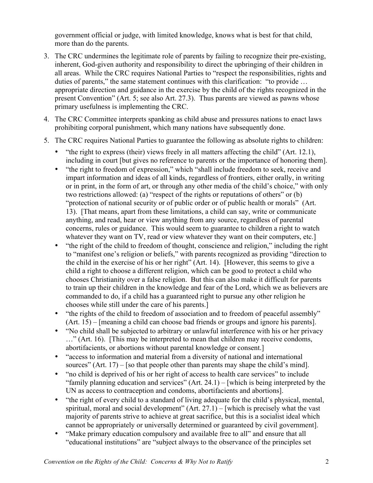government official or judge, with limited knowledge, knows what is best for that child, more than do the parents.

- 3. The CRC undermines the legitimate role of parents by failing to recognize their pre-existing, inherent, God-given authority and responsibility to direct the upbringing of their children in all areas. While the CRC requires National Parties to "respect the responsibilities, rights and duties of parents," the same statement continues with this clarification: "to provide … appropriate direction and guidance in the exercise by the child of the rights recognized in the present Convention" (Art. 5; see also Art. 27.3). Thus parents are viewed as pawns whose primary usefulness is implementing the CRC.
- 4. The CRC Committee interprets spanking as child abuse and pressures nations to enact laws prohibiting corporal punishment, which many nations have subsequently done.
- 5. The CRC requires National Parties to guarantee the following as absolute rights to children:
	- "the right to express (their) views freely in all matters affecting the child" (Art. 12.1), including in court [but gives no reference to parents or the importance of honoring them].
	- "the right to freedom of expression," which "shall include freedom to seek, receive and impart information and ideas of all kinds, regardless of frontiers, either orally, in writing or in print, in the form of art, or through any other media of the child's choice," with only two restrictions allowed: (a) "respect of the rights or reputations of others" or (b) "protection of national security or of public order or of public health or morals" (Art. 13). [That means, apart from these limitations, a child can say, write or communicate anything, and read, hear or view anything from any source, regardless of parental concerns, rules or guidance. This would seem to guarantee to children a right to watch whatever they want on TV, read or view whatever they want on their computers, etc.
	- "the right of the child to freedom of thought, conscience and religion," including the right to "manifest one's religion or beliefs," with parents recognized as providing "direction to the child in the exercise of his or her right" (Art. 14). [However, this seems to give a child a right to choose a different religion, which can be good to protect a child who chooses Christianity over a false religion. But this can also make it difficult for parents to train up their children in the knowledge and fear of the Lord, which we as believers are commanded to do, if a child has a guaranteed right to pursue any other religion he chooses while still under the care of his parents.]
	- "the rights of the child to freedom of association and to freedom of peaceful assembly" (Art. 15) – [meaning a child can choose bad friends or groups and ignore his parents].
	- "No child shall be subjected to arbitrary or unlawful interference with his or her privacy …" (Art. 16). [This may be interpreted to mean that children may receive condoms, abortifacients, or abortions without parental knowledge or consent.]
	- "access to information and material from a diversity of national and international sources" (Art. 17) – [so that people other than parents may shape the child's mind].
	- "no child is deprived of his or her right of access to health care services" to include "family planning education and services" (Art. 24.1) – [which is being interpreted by the UN as access to contraception and condoms, abortifacients and abortions].
	- "the right of every child to a standard of living adequate for the child's physical, mental, spiritual, moral and social development"  $(Art. 27.1) -$  [which is precisely what the vast majority of parents strive to achieve at great sacrifice, but this is a socialist ideal which cannot be appropriately or universally determined or guaranteed by civil government].
	- "Make primary education compulsory and available free to all" and ensure that all "educational institutions" are "subject always to the observance of the principles set